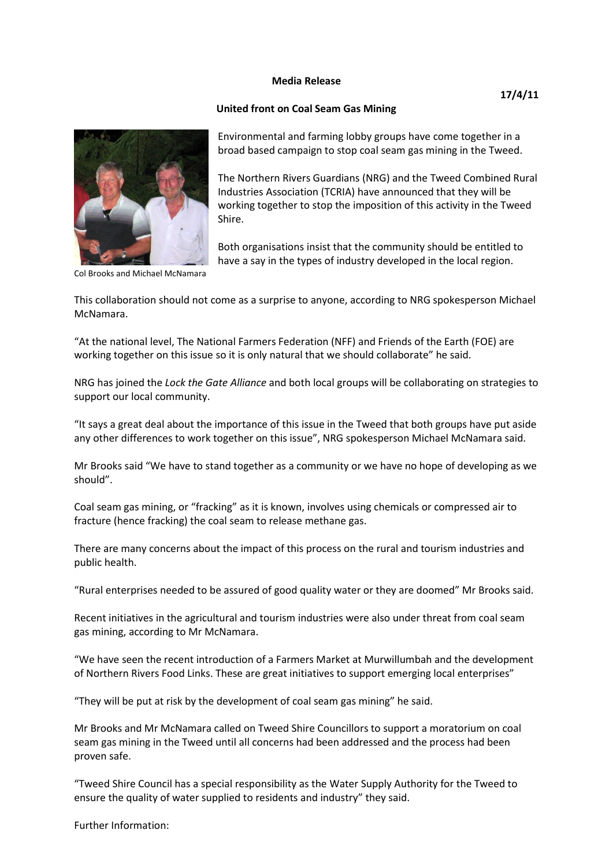## **Media Release**

## **United front on Coal Seam Gas Mining**



Environmental and farming lobby groups have come together in a broad based campaign to stop coal seam gas mining in the Tweed.

The Northern Rivers Guardians (NRG) and the Tweed Combined Rural Industries Association (TCRIA) have announced that they will be working together to stop the imposition of this activity in the Tweed Shire.

Both organisations insist that the community should be entitled to have a say in the types of industry developed in the local region.

Col Brooks and Michael McNamara

This collaboration should not come as a surprise to anyone, according to NRG spokesperson Michael McNamara.

"At the national level, The National Farmers Federation (NFF) and Friends of the Earth (FOE) are working together on this issue so it is only natural that we should collaborate" he said.

NRG has joined the *Lock the Gate Alliance* and both local groups will be collaborating on strategies to support our local community.

"It says a great deal about the importance of this issue in the Tweed that both groups have put aside any other differences to work together on this issue", NRG spokesperson Michael McNamara said.

Mr Brooks said "We have to stand together as a community or we have no hope of developing as we should".

Coal seam gas mining, or "fracking" as it is known, involves using chemicals or compressed air to fracture (hence fracking) the coal seam to release methane gas.

There are many concerns about the impact of this process on the rural and tourism industries and public health.

"Rural enterprises needed to be assured of good quality water or they are doomed" Mr Brooks said.

Recent initiatives in the agricultural and tourism industries were also under threat from coal seam gas mining, according to Mr McNamara.

"We have seen the recent introduction of a Farmers Market at Murwillumbah and the development of Northern Rivers Food Links. These are great initiatives to support emerging local enterprises"

"They will be put at risk by the development of coal seam gas mining" he said.

Mr Brooks and Mr McNamara called on Tweed Shire Councillors to support a moratorium on coal seam gas mining in the Tweed until all concerns had been addressed and the process had been proven safe.

"Tweed Shire Council has a special responsibility as the Water Supply Authority for the Tweed to ensure the quality of water supplied to residents and industry" they said.

Further Information: